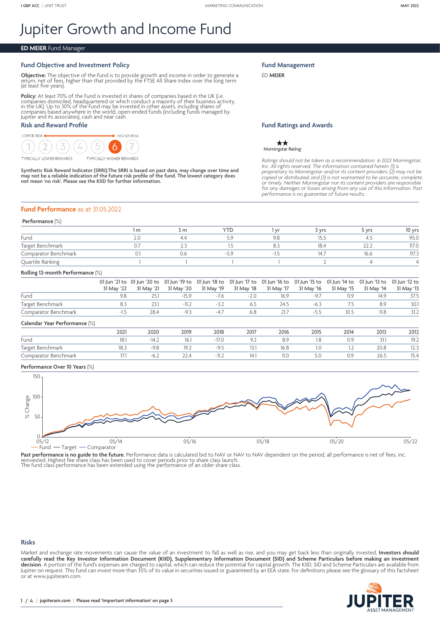# Jupiter Growth and Income Fund

## **ED MEIER** Fund Manager

## **Fund Objective and Investment Policy**

**Objective:** The objective of the Fund is to provide growth and income in order to generate a<br>return, net of fees, higher than that provided by the FTSE All Share Index over the long term<br>(at least five years).

**Policy:** At least 70% of the Fund is invested in shares of companies based in the UK (i.e.<br>companies domiciled, headquartered or which conduct a majority of their business activity,<br>in the UK). Up to 30% of the Fund may b Jupiter and its associates), cash and near cash.

## **Risk and Reward Profile**

#### **LOWER RISK**  $\blacktriangleright$  Higher Risk  $\mathcal{D}$ **TYPICALLY LOWER REWARDS TYPICALLY HIGHER REWARDS**

**Synthetic Risk Reward Indicator (SRRI):The SRRI is based on past data, may change over time and may not be a reliable indication of the future risk profile of the fund. The lowest category does not mean 'no risk'. Please see the KIID for further information.**

#### **Fund Management**

ED **MEIER**

## **Fund Ratings and Awards**

 $\star\star$ Morningstar Rating

*Ratings should not be taken as a recommendation.* © *2022 Morningstar, Inc. All rights reserved. The information contained herein: (1) is*  proprietary to Morningstar and/or its content providers; (2) may not be<br>copied or distributed; and (3) is not warranted to be accurate, complete,<br>or timely. Neither Morningstar nor its content providers are responsible<br>for

## **Fund Performance** as at 31.05.2022

#### **Performance** (%)

|                      | m         | 3 m | YTL | . vr | vrs د | <b>vrs</b>    | 10 yrs |
|----------------------|-----------|-----|-----|------|-------|---------------|--------|
| Fund                 | <u>_.</u> | 4.4 |     |      | 15.   |               | 95.0   |
| Target Benchmark     |           |     |     |      | 18.4  | $\sim$ $\sim$ | 117.0  |
| Comparator Benchmark |           | J.G | - 7 |      | 14.7  | 16.6          | 117.3  |
| Quartile Ranking     |           |     |     |      |       |               |        |

#### **Rolling 12-month Performance** (%)

|                      | 01 Jun '21 to 01 Jun '20 to 01 Jun '19 to 01 Jun '18 to 01 Jun '17 to 01 Jun '16 to 01 Jun '15 to 01 Jun '14 to 01 Jun '13 to 01 Jun '12 to |  |        |      |        |            |            |            |
|----------------------|---------------------------------------------------------------------------------------------------------------------------------------------|--|--------|------|--------|------------|------------|------------|
|                      | 31 May '22 31 May '21 31 May '20 31 May '19 31 May '18 31 May '17 31 May '16                                                                |  |        |      |        | 31 May '15 | 31 May '14 | 31 May '13 |
| Fund                 |                                                                                                                                             |  | $-2.0$ | 16.9 | $-97$  |            | 14.9       | 37.5       |
| Target Benchmark     |                                                                                                                                             |  | 6.5    | 24.5 | $-6.3$ |            | 8.9        | 30.1       |
| Comparator Benchmark |                                                                                                                                             |  | 6.8    | 21.7 |        |            | 11.8       | 31.2       |

#### **Calendar Year Performance** (%)

|                      | 2021 | 2020   | 2019                     | 2018         | 2017 | 2016 | 2015 | 2014 | 2013 | 2012 |
|----------------------|------|--------|--------------------------|--------------|------|------|------|------|------|------|
| Fund                 | 18.1 |        | 6.1                      |              |      | 8.9  | 1.0  |      | 31.1 | 19.2 |
| Target Benchmark     | 10.J | 7.C    | 19.2                     |              | . ب  | 16.8 |      |      | ZU.ŏ | ر ۱۷ |
| Comparator Benchmark |      | $-0.4$ | $\overline{\phantom{m}}$ | $\mathbf{1}$ |      | II.U | ں،ب  |      | 26.5 | 15.4 |

## **Performance Over 10 Years** (%)



Past performance is no guide to the future. Performance data is calculated bid to NAV or NAV to NAV dependent on the period, all performance is net of fees, inc.<br>reinvested. Highest fee share class has been used to cover p

The fund class performance has been extended using the performance of an older share class.

#### **Risks**

Market and exchange rate movements can cause the value of an investment to fall as well as rise, and you may get back less than originally invested. **Investors should carefully read the Key Investor Information Document (KIID), Supplementary Information Document (SID) and Scheme Particulars before making an investment decision**. A portion of the fund's expenses are charged to capital, which can reduce the potential for capital growth. The KIID, SID and Scheme Particulars are available from Jupiter on request. This fund can invest more than 35% of its value in securities issued or guaranteed by an EEA state. For definitions please see the glossary of this factsheet or at [www.jupiteram.com.](www.jupiteram.com)

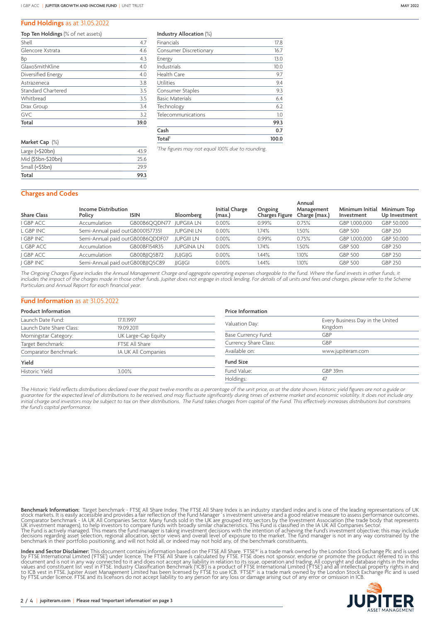## **Fund Holdings** as at 31.05.2022

| Top Ten Holdings (% of net assets) |  |
|------------------------------------|--|
|------------------------------------|--|

| <b>Total</b>              | 39.0 |
|---------------------------|------|
| <b>GVC</b>                | 3.2  |
| Drax Group                | 3.4  |
| Whitbread                 | 3.5  |
| <b>Standard Chartered</b> | 3.5  |
| Astrazeneca               | 3.8  |
| Diversified Energy        | 4.0  |
| GlaxoSmithKline           | 4.0  |
| Вp                        | 4.3  |
| Glencore Xstrata          | 4.6  |
| Shell                     | 4.7  |

| Market Cap (%)        |      |
|-----------------------|------|
| Large $($ >\$20 $bn)$ | 439  |
| Mid (\$5bn-\$20bn)    | 256  |
| Small (<\$5bn)        | 299  |
| Total                 | 99.3 |

**Industry Allocation** (%)

| Total <sup>1</sup>            | 100.0 |
|-------------------------------|-------|
| Cash                          | 0.7   |
|                               | 99.3  |
| Telecommunications            | 1.0   |
| Technology                    | 6.2   |
| <b>Basic Materials</b>        | 6.4   |
| Consumer Staples              | 9.3   |
| Utilities                     | 9.4   |
| Health Care                   | 9.7   |
| Industrials                   | 10.0  |
| Energy                        | 13.0  |
| <b>Consumer Discretionary</b> | 16.7  |
| Financials                    | 17.8  |

*1 The figures may not equal 100% due to rounding.*

## **Charges and Codes**

| <b>Share Class</b> | <b>Income Distribution</b><br>Policy | <b>ISIN</b>                      | Bloomberg         | <b>Initial Charge</b><br>(max.) | Ongoing<br>Charges Figure | Annual<br>Management<br>Charge (max.) | Minimum Initial<br>Investment | Minimum Top<br>Up Investment |
|--------------------|--------------------------------------|----------------------------------|-------------------|---------------------------------|---------------------------|---------------------------------------|-------------------------------|------------------------------|
| <b>GBP ACC</b>     | Accumulation                         | GB00B6OODN77                     | <b>JUPGIIA LN</b> | 0.00%                           | 0.99%                     | 0.75%                                 | GBP 1.000.000                 | GBP 50.000                   |
| L GBP INC          |                                      | Semi-Annual paid outGB0001577351 | <b>JUPGINI LN</b> | $0.00\%$                        | 1.74%                     | 1.50%                                 | GBP 500                       | <b>GBP 250</b>               |
| <b>GBP INC</b>     |                                      | Semi-Annual paid outGB00B6QDDF07 | <b>JUPGIII LN</b> | 0.00%                           | 0.99%                     | 0.75%                                 | GBP 1,000,000                 | GBP 50,000                   |
| L GBP ACC          | Accumulation                         | GB00BF154R35                     | <b>JUPGINA LN</b> | 0.00%                           | 1.74%                     | 1.50%                                 | <b>GBP 500</b>                | <b>GBP 250</b>               |
| <b>GBP ACC</b>     | Accumulation                         | GB00BJJQ5B72                     | JUJGIJG           | 0.00%                           | 1.44%                     | 1.10%                                 | <b>GBP 500</b>                | <b>GBP 250</b>               |
| <b>GBP INC</b>     |                                      | Semi-Annual paid outGB00BJJQ5C89 | <b>JJGIJGI</b>    | $0.00\%$                        | 1.44%                     | $1.10\%$                              | <b>GBP 500</b>                | <b>GBP 250</b>               |
|                    |                                      |                                  |                   |                                 |                           |                                       |                               |                              |

*The Ongoing Charges Figure includes the Annual Management Charge and aggregate operating expenses chargeable to the fund. Where the fund invests in other funds, it includes the impact of the charges made in those other funds. Jupiter does not engage in stock lending. For details of all units and fees and charges, please refer to the Scheme Particulars and Annual Report for each financial year.*

### **Fund Information** as at 31.05.2022

| <b>Product Information</b>                    |                          | <b>Price Information</b>   |                                             |  |  |  |
|-----------------------------------------------|--------------------------|----------------------------|---------------------------------------------|--|--|--|
| Launch Date Fund:<br>Launch Date Share Class: | 17.11.1997<br>19.09.2011 | Valuation Day:             | Every Business Day in the United<br>Kingdom |  |  |  |
| Morningstar Category:                         | UK Large-Cap Equity      | <b>Base Currency Fund:</b> | GBP                                         |  |  |  |
| Target Benchmark:                             | FTSE All Share           | Currency Share Class:      | GBP                                         |  |  |  |
| Comparator Benchmark:                         | IA UK All Companies      | Available on:              | www.jupiteram.com                           |  |  |  |
| Yield                                         |                          | <b>Fund Size</b>           |                                             |  |  |  |
| Historic Yield                                | 3.00%                    | Fund Value:                | GBP 39m                                     |  |  |  |
|                                               |                          | Holdings:                  | 47                                          |  |  |  |

*The Historic Yield reflects distributions declared over the past twelve months as a percentage of the unit price, as at the date shown. Historic yield figures are not a guide or guarantee for the expected level of distributions to be received, and may fluctuate significantly during times of extreme market and economic volatility. It does not include any initial charge and investors may be subject to tax on their distributions. The Fund takes charges from capital of the Fund. This effectively increases distributions but constrains the fund's capital performance.*

**Benchmark Information:** Target benchmark - FTSE All Share Index. The FTSE All Share Index is an industry standard index and is one of the leading representations of UK stock markets. It is easily accessible and provides a

**Index and Sector Disclaimer:** This document contains information based on the FTSE All Share. 'FTSE®' is a trade mark owned by the London Stock Exchange Plc and is used<br>by FTSE International Limited ('FTSE') under licence by FTSE under licence. FTSE and its licensors do not accept liability to any person for any loss or damage arising out of any error or omission in ICB.

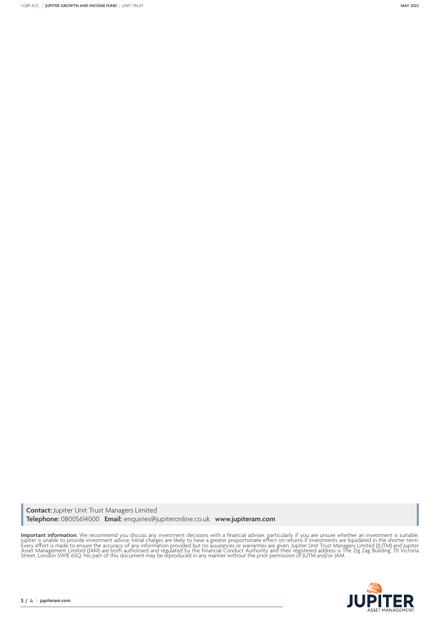**Contact:** Jupiter Unit Trust Managers Limited **Telephone:** 08005614000 **Email:** enquiries@jupiteronline.co.uk **www.jupiteram.com**

**Important information:** We recommend you discuss any investment decisions with a financial adviser, particularly if you are unsure whether an investment is suitable.<br>Jupiter is unable to provide investment advice. Initial